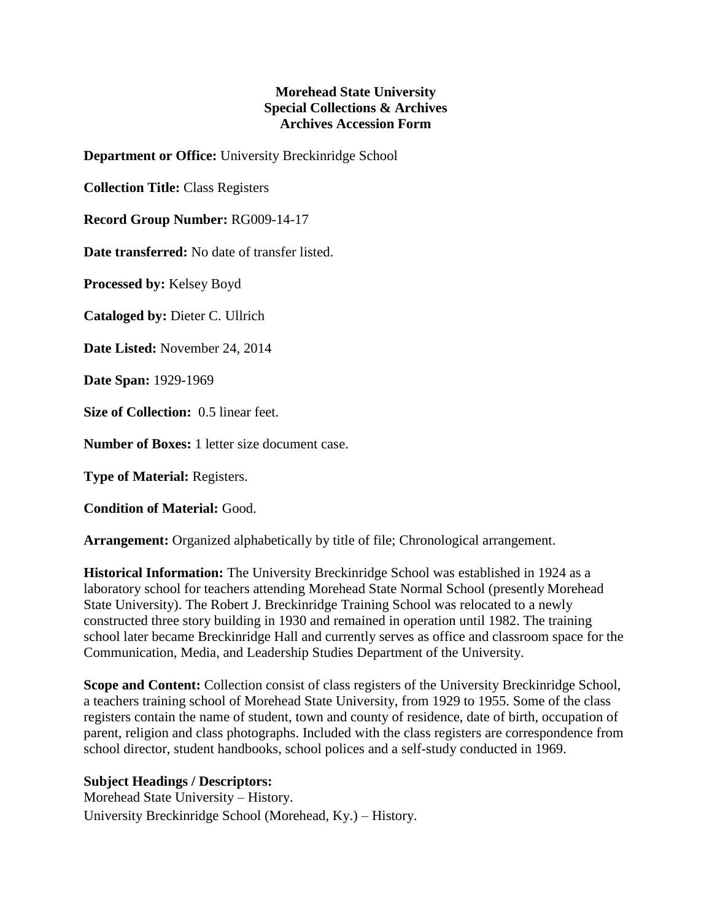## **Morehead State University Special Collections & Archives Archives Accession Form**

**Department or Office:** University Breckinridge School

**Collection Title:** Class Registers

**Record Group Number:** RG009-14-17

**Date transferred:** No date of transfer listed.

**Processed by:** Kelsey Boyd

**Cataloged by:** Dieter C. Ullrich

**Date Listed:** November 24, 2014

**Date Span:** 1929-1969

**Size of Collection:** 0.5 linear feet.

**Number of Boxes:** 1 letter size document case.

**Type of Material:** Registers.

**Condition of Material:** Good.

**Arrangement:** Organized alphabetically by title of file; Chronological arrangement.

**Historical Information:** The University Breckinridge School was established in 1924 as a laboratory school for teachers attending Morehead State Normal School (presently Morehead State University). The Robert J. Breckinridge Training School was relocated to a newly constructed three story building in 1930 and remained in operation until 1982. The training school later became Breckinridge Hall and currently serves as office and classroom space for the Communication, Media, and Leadership Studies Department of the University.

**Scope and Content:** Collection consist of class registers of the University Breckinridge School, a teachers training school of Morehead State University, from 1929 to 1955. Some of the class registers contain the name of student, town and county of residence, date of birth, occupation of parent, religion and class photographs. Included with the class registers are correspondence from school director, student handbooks, school polices and a self-study conducted in 1969.

## **Subject Headings / Descriptors:**

Morehead State University – History. University Breckinridge School (Morehead, Ky.) – History.